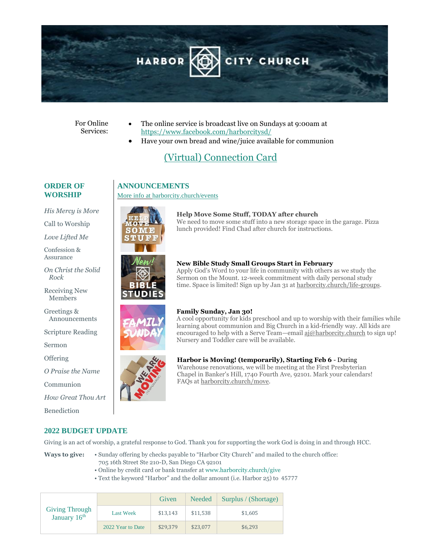

#### For Online Services:

- The online service is broadcast live on Sundays at 9:00am at <https://www.facebook.com/harborcitysd/>
- Have your own bread and wine/juice available for communion

# [\(Virtual\) Connection Card](https://docs.google.com/forms/d/e/1FAIpQLSckA6HFR0aknPesURwyvaU9D4oqN8MJrS4eITg50S3KFk7ZJQ/viewform?vc=0&c=0&w=1&usp=mail_form_link)

#### **ORDER OF WORSHIP**

*His Mercy is More* 

Call to Worship

*Love Lifted Me*

Confession & Assurance

*On Christ the Solid Rock* 

Receiving New Members

Greetings & Announcements

Scripture Reading

Sermon

**Offering** 

*O Praise the Name* 

Communion

*How Great Thou Art*

Benediction



**ANNOUNCEMENTS**

More info a[t harborcity.church/events](http://www.harborcity.church/events)

#### **Help Move Some Stuff, TODAY after church** We need to move some stuff into a new storage space in the garage. Pizza lunch provided! Find Chad after church for instructions.



## **New Bible Study Small Groups Start in February**

Apply God's Word to your life in community with others as we study the Sermon on the Mount. 12-week commitment with daily personal study time. Space is limited! Sign up by Jan 31 a[t harborcity.church/life-groups.](file:///C:/Users/Administrator/Documents/harborcity.church/life-groups)

#### **Family Sunday, Jan 30!**

A cool opportunity for kids preschool and up to worship with their families while learning about communion and Big Church in a kid-friendly way. All kids are encouraged to help with a Serve Team—email aj@harborcity.church to sign up! Nursery and Toddler care will be available.



### **Harbor is Moving! (temporarily), Starting Feb 6** - During Warehouse renovations, we will be meeting at the First Presbyterian

Chapel in Banker's Hill, 1740 Fourth Ave, 92101. Mark your calendars! FAQs a[t harborcity.church/move.](file:///C:/Users/Administrator/Documents/harborcity.church/move)

## **2022 BUDGET UPDATE**

Giving is an act of worship, a grateful response to God. Thank you for supporting the work God is doing in and through HCC.

- **Ways to give:** Sunday offering by checks payable to "Harbor City Church" and mailed to the church office: 705 16th Street Ste 210-D, San Diego CA 92101
	- Online by credit card or bank transfer at www.harborcity.church/give
	- Text the keyword "Harbor" and the dollar amount (i.e. Harbor 25) to 45777

| <b>Giving Through</b><br>January 16th |                   | Given    | Needed   | Surplus / (Shortage) |
|---------------------------------------|-------------------|----------|----------|----------------------|
|                                       | <b>Last Week</b>  | \$13,143 | \$11,538 | \$1,605              |
|                                       | 2022 Year to Date | \$29,379 | \$23,077 | \$6.293              |